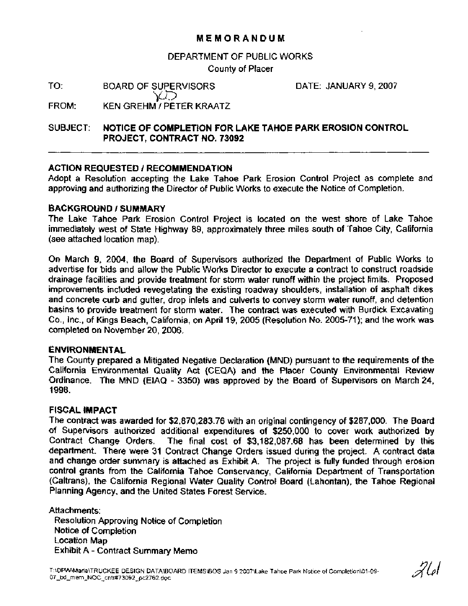## **MEMORANDUM**

#### DEPARTMENT OF PUBLIC WORKS

County of Placer

TO: BOARD OF SUPERVISORS

DATE: JANUARY 9,2007

')&? FROM: KEN GREHM / PETER KRAATZ

SUBJECT: **NOTICE OF COMPLETION FOR LAKE TAHOE PARK EROSION CONTROL PROJECT, CONTRACT NO. 73092** 

### **ACTION REQUESTED 1 RECOMMENDATION**

Adopt a Resolution accepting the Lake Tahoe Park Erosion Control Project as complete and approving and authorizing the Director of Public Works to execute the Notice of Completion.

### **BACKGROUND I SUMMARY**

The Lake Tahoe Park Erosion Control Project is located on the west shore of Lake Tahoe immediately west of State Highway 89, approximately three miles south of Tahoe City, California (see attached location map).

On March 9, 2004, the Board of Supervisors authorized the Department of Public Works to advertise for bids and allow the Public Works Director to execute a contract to construct roadside drainage facilities and provide treatment for storm water runoff within the project limits. Proposed improvements included revegetating the existing roadway shoulders, installation of asphalt dikes and concrete curb and gutter, drop inlets and culverts to convey storm water runoff, and detention basins to provide treatment for storm water. The contract was executed with Burdick Excavating Co., Inc., of Kings Beach, California, on April 19, 2005 (Resolution No. 2005-71); and the work was completed on November 20, 2006.

#### **ENVIRONMENTAL**

The County prepared a Mitigated Negative Declaration (MND) pursuant to the requirements of the California Environmental Quality Act (CEQA) and the Placer County Environmental Review Ordinance. The MND (EIAQ - 3350) was approved by the Board of Supervisors on March 24, 1998.

#### **FISCAL IMPACT**

The contract was awarded for \$2,870,283.76 with an original contingency of \$287,000. The Board of Supervisors authorized additional expenditures of \$250,000 to cover work authorized by Contract Change Orders. The final cost of \$3,182,087.68 has been determined by this department. There were 31 Contract Change Orders issued during the project. A contract data and change order summary is attached as Exhibit A. The project is fully funded through erosion control grants from the California Tahoe Conservancy, California Department of Transportation (Caltrans), the California Regional Water Quality Control Board (Lahontan), the Tahoe Regional Planning Agency, and the United States Forest Service.

Attachments: Resolution Approving Notice of Completion Notice of Completion Location Map Exhibit A - Contract Summary Memo

261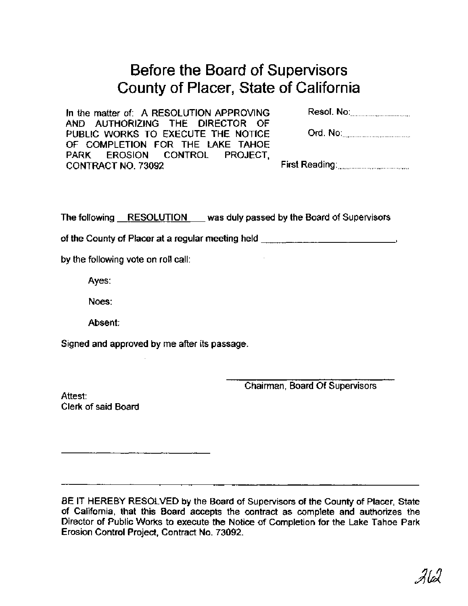# Before the Board of Supervisors County of Placer, State of California

| In the matter of: A RESOLUTION APPROVING | Resol. No:_________________ |
|------------------------------------------|-----------------------------|
| AND AUTHORIZING THE DIRECTOR OF          |                             |
| PUBLIC WORKS TO EXECUTE THE NOTICE       | Ord. No:                    |
| OF COMPLETION FOR THE LAKE TAHOE         |                             |
| PARK EROSION CONTROL PROJECT.            |                             |
| CONTRACT NO. 73092                       |                             |

The following RESOLUTION was duly passed by the Board of Supervisors

of the County of Placer at a regular meeting held **with the County of Placer at a regular meeting held** 

by the following vote on roll call:

Ayes:

Noes:

Absent:

Signed and approved by me after its passage.

Chairman, Board Of Supervisors

Attest: Clerk of said Board

BE IT HEREBY RESOLVED by the Board of Supervisors of the County of Placer, State of California, that this Board accepts the contract as complete and authorizes the Director of Public Works to execute the Notice of Completion for the Lake Tahoe Park Erosion Control Project, Contract No. 73092.

212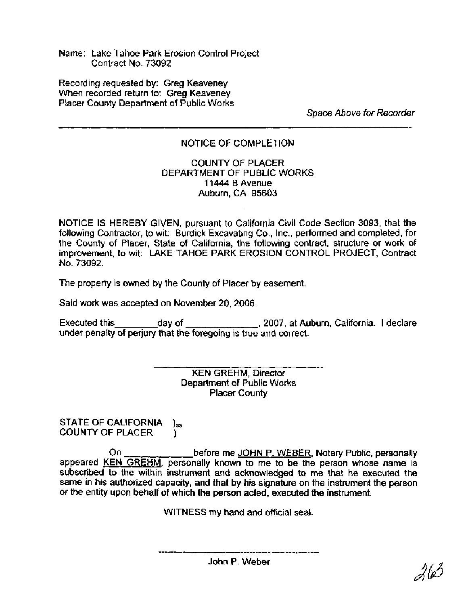Name: Lake Tahoe Park Erosion Control Project Contract No. 73092

Recording requested by: Greg Keaveney When recorded return to: Greg Keaveney Placer County Department of Public Works

**Space Above for Recorder** 

# NOTICE OF COMPLETION

### COUNTY OF PLACER DEPARTMENT OF PUBLIC WORKS **11444** B Avenue Auburn, CA 95603

NOTICE IS HEREBY GIVEN, pursuant to California Civil Code Section 3093, that the following Contractor, to wit: Burdick Excavating Co., Inc., performed and completed, for the County of Placer, State of California, the following contract, structure or work of improvement, to wit: LAKE TAHOE PARK EROSION CONTROL PROJECT, Contract No. 73092.

The property is owned by the County of Placer by easement.

Said work was accepted on November 20,2006.

Executed this \_\_\_\_\_\_\_\_\_\_\_day of \_\_\_\_\_\_\_\_\_\_\_\_\_\_\_\_, 2007, at Auburn, California. I declare under penalty of perjury that the foregoing is true and correct.

> KEN GREHM, Director Department of Public Works Placer County

STATE OF CALIFORNIA **)ss**  COUNTY OF PLACER )

On \_\_\_\_\_\_\_\_\_\_\_\_\_\_\_before me JOHN P. WEBER, Notary Public, personally appeared KEN GREHM, personally known to me to be the person whose name is subscribed to the within instrument and acknowledged to me that he executed the same in his authorized capacity, and that by his signature on the instrument the person or the entity upon behalf of which the person acted, executed the instrument.

WITNESS my hand and official seal.

John P. Weber

263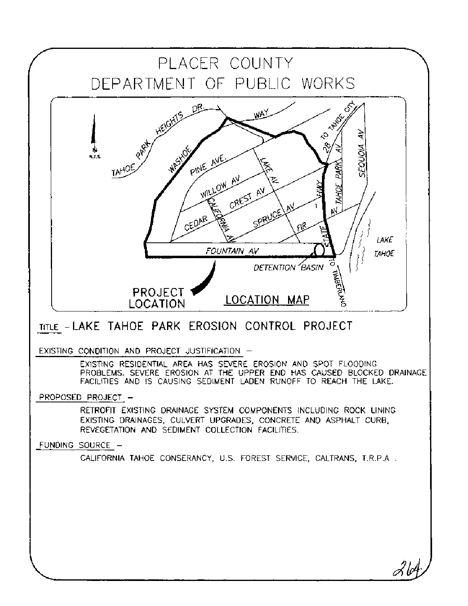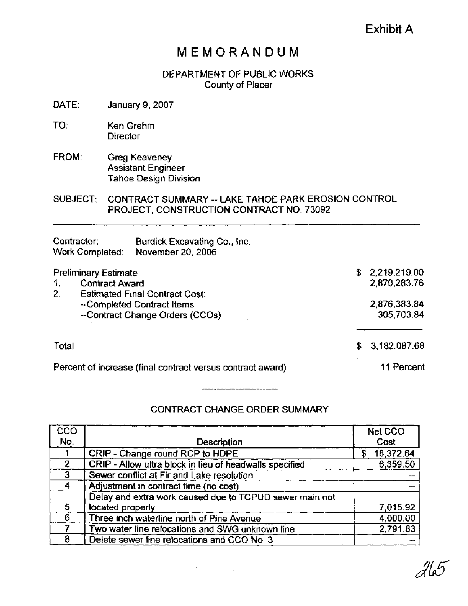# Exhibit **A**

# **MEMORANDUM**

# DEPARTMENT OF PUBLIC WORKS County of Placer

- DATE: January 9,2007
- TO: Ken Grehm **Director**
- FROM: Greg Keaveney Assistant Engineer Tahoe Design Division

SUBJECT: CONTRACT SUMMARY -- LAKE TAHOE PARK EROSION CONTROL PROJECT, CONSTRUCTION CONTRACT NO. 73092

| Contractor:<br>Work Completed:                                   | Burdick Excavating Co., Inc.<br>November 20, 2006             |    |                                |
|------------------------------------------------------------------|---------------------------------------------------------------|----|--------------------------------|
| <b>Preliminary Estimate</b><br><b>Contract Award</b><br>1.<br>2. | <b>Estimated Final Contract Cost:</b>                         |    | \$2,219,219.00<br>2,870,283.76 |
|                                                                  | --Completed Contract Items<br>--Contract Change Orders (CCOs) |    | 2,876,383.84<br>305,703.84     |
| Total                                                            |                                                               | £. | 3,182.087.68                   |
|                                                                  | Percent of increase (final contract versus contract award)    |    | 11 Percent                     |

# CONTRACT CHANGE ORDER SUMMARY

| $\overline{\text{cc}}$ o |                                                         | Net CCO         |
|--------------------------|---------------------------------------------------------|-----------------|
| No.                      | Description                                             | Cost            |
|                          | CRIP - Change round RCP to HDPE                         | 18,372.64<br>\$ |
| $\overline{2}$           | CRIP - Allow ultra block in lieu of headwalls specified | 6,359.50        |
| 3                        | Sewer conflict at Fir and Lake resolution               |                 |
| Δ                        | Adjustment in contract time (no cost)                   |                 |
|                          | Delay and extra work caused due to TCPUD sewer main not |                 |
| 5                        | located properly                                        | 7,015.92        |
| 6                        | Three inch waterline north of Pine Avenue               | 4,000.00        |
|                          | Two water line relocations and SWG unknown line         | 2,791.83        |
| я                        | Delete sewer line relocations and CCO No. 3             |                 |

 $\mathcal{F}^{\text{max}}_{\text{max}}$  and  $\mathcal{F}^{\text{max}}_{\text{max}}$